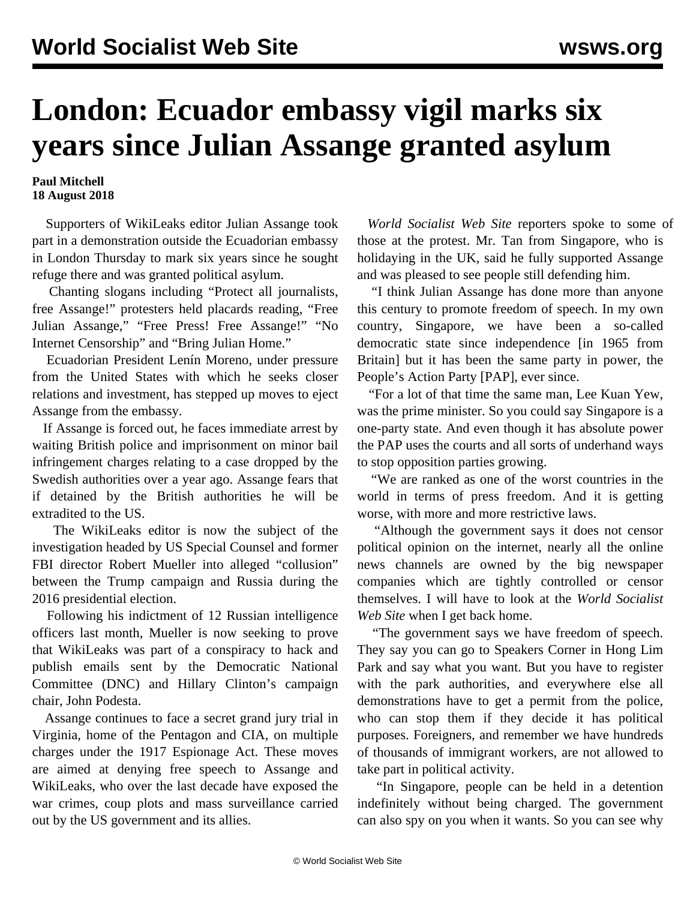## **London: Ecuador embassy vigil marks six years since Julian Assange granted asylum**

## **Paul Mitchell 18 August 2018**

 Supporters of WikiLeaks editor Julian Assange took part in a demonstration outside the Ecuadorian embassy in London Thursday to mark six years since he sought refuge there and was granted political asylum.

 Chanting slogans including "Protect all journalists, free Assange!" protesters held placards reading, "Free Julian Assange," "Free Press! Free Assange!" "No Internet Censorship" and "Bring Julian Home."

 Ecuadorian President Lenín Moreno, under pressure from the United States with which he seeks closer relations and investment, has stepped up moves to eject Assange from the embassy.

 If Assange is forced out, he faces immediate arrest by waiting British police and imprisonment on minor bail infringement charges relating to a case dropped by the Swedish authorities over a year ago. Assange fears that if detained by the British authorities he will be extradited to the US.

 The WikiLeaks editor is now the subject of the investigation headed by US Special Counsel and former FBI director Robert Mueller into alleged "collusion" between the Trump campaign and Russia during the 2016 presidential election.

 Following his indictment of 12 Russian intelligence officers last month, Mueller is now seeking to prove that WikiLeaks was part of a conspiracy to hack and publish emails sent by the Democratic National Committee (DNC) and Hillary Clinton's campaign chair, John Podesta.

 Assange continues to face a secret grand jury trial in Virginia, home of the Pentagon and CIA, on multiple charges under the 1917 Espionage Act. These moves are aimed at denying free speech to Assange and WikiLeaks, who over the last decade have exposed the war crimes, coup plots and mass surveillance carried out by the US government and its allies.

 *World Socialist Web Site* reporters spoke to some of those at the protest. Mr. Tan from Singapore, who is holidaying in the UK, said he fully supported Assange and was pleased to see people still defending him.

 "I think Julian Assange has done more than anyone this century to promote freedom of speech. In my own country, Singapore, we have been a so-called democratic state since independence [in 1965 from Britain] but it has been the same party in power, the People's Action Party [PAP], ever since.

 "For a lot of that time the same man, Lee Kuan Yew, was the prime minister. So you could say Singapore is a one-party state. And even though it has absolute power the PAP uses the courts and all sorts of underhand ways to stop opposition parties growing.

 "We are ranked as one of the worst countries in the world in terms of press freedom. And it is getting worse, with more and more restrictive laws.

 "Although the government says it does not censor political opinion on the internet, nearly all the online news channels are owned by the big newspaper companies which are tightly controlled or censor themselves. I will have to look at the *World Socialist Web Site* when I get back home.

 "The government says we have freedom of speech. They say you can go to Speakers Corner in Hong Lim Park and say what you want. But you have to register with the park authorities, and everywhere else all demonstrations have to get a permit from the police, who can stop them if they decide it has political purposes. Foreigners, and remember we have hundreds of thousands of immigrant workers, are not allowed to take part in political activity.

 "In Singapore, people can be held in a detention indefinitely without being charged. The government can also spy on you when it wants. So you can see why